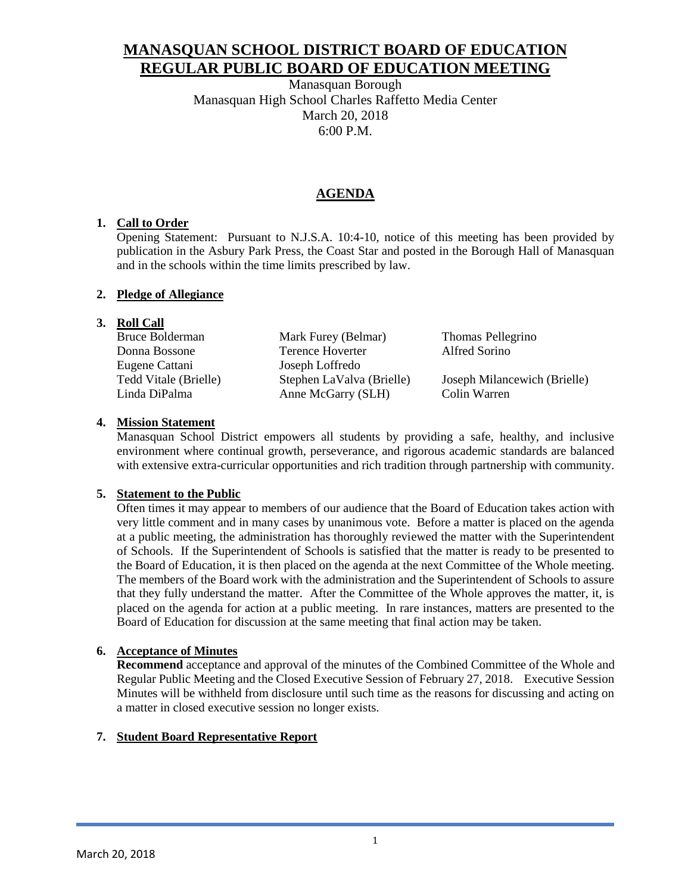# **MANASQUAN SCHOOL DISTRICT BOARD OF EDUCATION REGULAR PUBLIC BOARD OF EDUCATION MEETING**

Manasquan Borough Manasquan High School Charles Raffetto Media Center March 20, 2018 6:00 P.M.

## **AGENDA**

## **1. Call to Order**

Opening Statement: Pursuant to N.J.S.A. 10:4-10, notice of this meeting has been provided by publication in the Asbury Park Press, the Coast Star and posted in the Borough Hall of Manasquan and in the schools within the time limits prescribed by law.

### **2. Pledge of Allegiance**

## **3. Roll Call**

| Bruce Bolderman       | Mark Furey (Belmar)       | Thomas Pellegrino            |
|-----------------------|---------------------------|------------------------------|
| Donna Bossone         | Terence Hoverter          | Alfred Sorino                |
| Eugene Cattani        | Joseph Loffredo           |                              |
| Tedd Vitale (Brielle) | Stephen LaValva (Brielle) | Joseph Milancewich (Brielle) |
| Linda DiPalma         | Anne McGarry (SLH)        | Colin Warren                 |

### **4. Mission Statement**

Manasquan School District empowers all students by providing a safe, healthy, and inclusive environment where continual growth, perseverance, and rigorous academic standards are balanced with extensive extra-curricular opportunities and rich tradition through partnership with community.

## **5. Statement to the Public**

Often times it may appear to members of our audience that the Board of Education takes action with very little comment and in many cases by unanimous vote. Before a matter is placed on the agenda at a public meeting, the administration has thoroughly reviewed the matter with the Superintendent of Schools. If the Superintendent of Schools is satisfied that the matter is ready to be presented to the Board of Education, it is then placed on the agenda at the next Committee of the Whole meeting. The members of the Board work with the administration and the Superintendent of Schools to assure that they fully understand the matter. After the Committee of the Whole approves the matter, it, is placed on the agenda for action at a public meeting. In rare instances, matters are presented to the Board of Education for discussion at the same meeting that final action may be taken.

## **6. Acceptance of Minutes**

**Recommend** acceptance and approval of the minutes of the Combined Committee of the Whole and Regular Public Meeting and the Closed Executive Session of February 27, 2018. Executive Session Minutes will be withheld from disclosure until such time as the reasons for discussing and acting on a matter in closed executive session no longer exists.

## **7. Student Board Representative Report**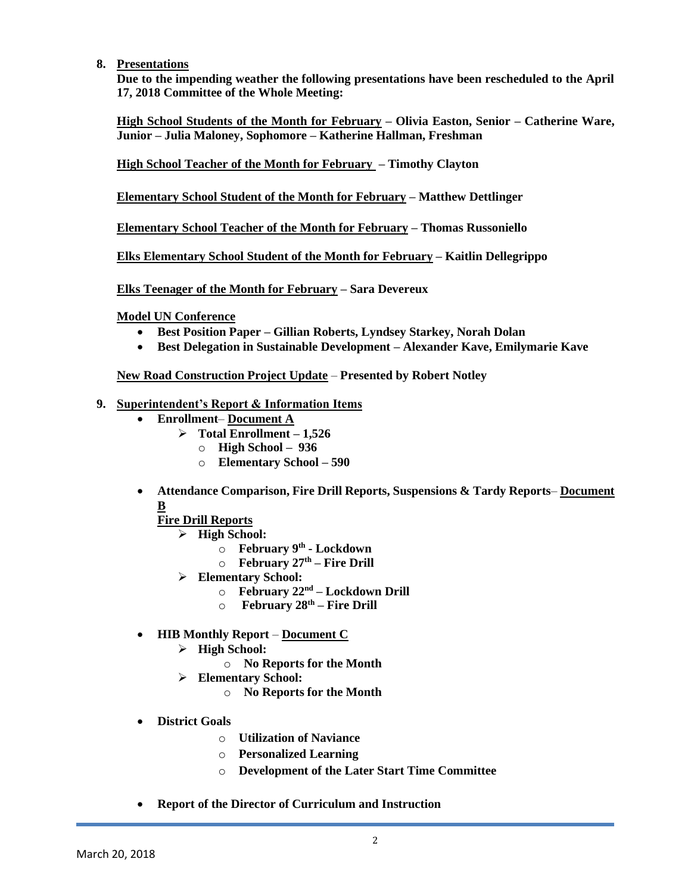### **8. Presentations**

**Due to the impending weather the following presentations have been rescheduled to the April 17, 2018 Committee of the Whole Meeting:**

**High School Students of the Month for February – Olivia Easton, Senior – Catherine Ware, Junior – Julia Maloney, Sophomore – Katherine Hallman, Freshman**

**High School Teacher of the Month for February – Timothy Clayton**

**Elementary School Student of the Month for February – Matthew Dettlinger**

**Elementary School Teacher of the Month for February – Thomas Russoniello**

**Elks Elementary School Student of the Month for February – Kaitlin Dellegrippo**

**Elks Teenager of the Month for February – Sara Devereux**

**Model UN Conference**

- **Best Position Paper – Gillian Roberts, Lyndsey Starkey, Norah Dolan**
- **Best Delegation in Sustainable Development – Alexander Kave, Emilymarie Kave**

**New Road Construction Project Update** – **Presented by Robert Notley**

- **9. Superintendent's Report & Information Items**
	- **Enrollment Document A**
		- **Total Enrollment – 1,526**
			- o **High School 936**
			- o **Elementary School – 590**
	- **Attendance Comparison, Fire Drill Reports, Suspensions & Tardy Reports Document B**

**Fire Drill Reports**

- **High School:**
	- o **February 9th - Lockdown**
	- o **February 27th – Fire Drill**
- **Elementary School:**
	- o **February 22nd – Lockdown Drill**
	- o **February 28th – Fire Drill**
- **HIB Monthly Report Document C**
	- **High School:**
		- o **No Reports for the Month**
	- **Elementary School:**
		- o **No Reports for the Month**
- **District Goals**
	- o **Utilization of Naviance**
	- o **Personalized Learning**
	- o **Development of the Later Start Time Committee**
- **Report of the Director of Curriculum and Instruction**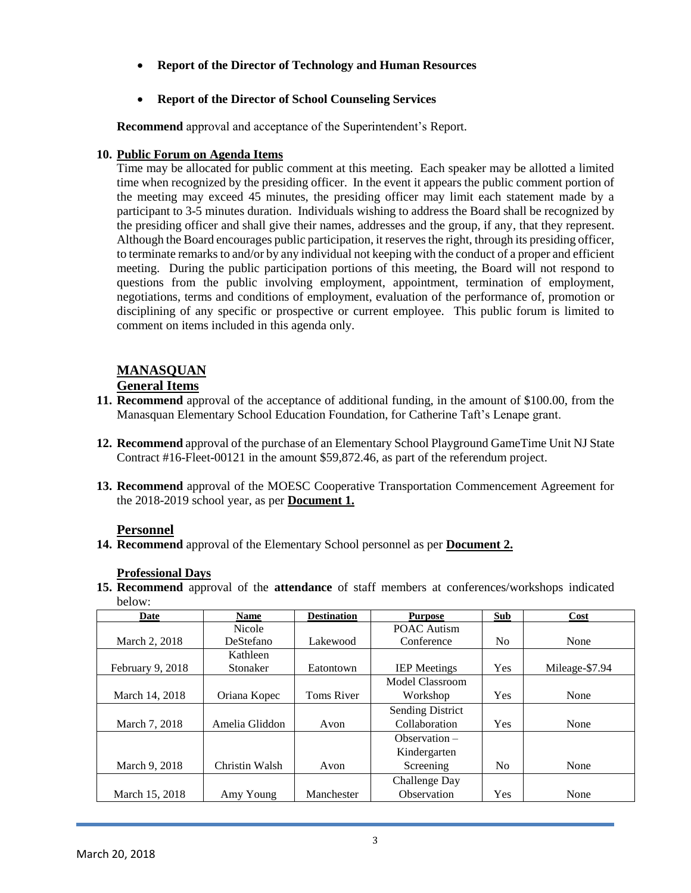**Report of the Director of Technology and Human Resources**

## **Report of the Director of School Counseling Services**

**Recommend** approval and acceptance of the Superintendent's Report.

## **10. Public Forum on Agenda Items**

Time may be allocated for public comment at this meeting. Each speaker may be allotted a limited time when recognized by the presiding officer. In the event it appears the public comment portion of the meeting may exceed 45 minutes, the presiding officer may limit each statement made by a participant to 3-5 minutes duration. Individuals wishing to address the Board shall be recognized by the presiding officer and shall give their names, addresses and the group, if any, that they represent. Although the Board encourages public participation, it reserves the right, through its presiding officer, to terminate remarks to and/or by any individual not keeping with the conduct of a proper and efficient meeting. During the public participation portions of this meeting, the Board will not respond to questions from the public involving employment, appointment, termination of employment, negotiations, terms and conditions of employment, evaluation of the performance of, promotion or disciplining of any specific or prospective or current employee. This public forum is limited to comment on items included in this agenda only.

# **MANASQUAN**

## **General Items**

- **11. Recommend** approval of the acceptance of additional funding, in the amount of \$100.00, from the Manasquan Elementary School Education Foundation, for Catherine Taft's Lenape grant.
- **12. Recommend** approval of the purchase of an Elementary School Playground GameTime Unit NJ State Contract #16-Fleet-00121 in the amount \$59,872.46, as part of the referendum project.
- **13. Recommend** approval of the MOESC Cooperative Transportation Commencement Agreement for the 2018-2019 school year, as per **Document 1.**

## **Personnel**

**14. Recommend** approval of the Elementary School personnel as per **Document 2.**

## **Professional Days**

**15. Recommend** approval of the **attendance** of staff members at conferences/workshops indicated below:

| Date             | <b>Name</b>    | <b>Destination</b> | <b>Purpose</b>          | <b>Sub</b> | Cost           |
|------------------|----------------|--------------------|-------------------------|------------|----------------|
|                  | <b>Nicole</b>  |                    | <b>POAC Autism</b>      |            |                |
| March 2, 2018    | DeStefano      | Lakewood           | Conference              | No         | None           |
|                  | Kathleen       |                    |                         |            |                |
| February 9, 2018 | Stonaker       | Eatontown          | <b>IEP</b> Meetings     | Yes        | Mileage-\$7.94 |
|                  |                |                    | Model Classroom         |            |                |
| March 14, 2018   | Oriana Kopec   | <b>Toms River</b>  | Workshop                | Yes        | None           |
|                  |                |                    | <b>Sending District</b> |            |                |
| March 7, 2018    | Amelia Gliddon | Avon               | Collaboration           | Yes        | None           |
|                  |                |                    | $Observation -$         |            |                |
|                  |                |                    | Kindergarten            |            |                |
| March 9, 2018    | Christin Walsh | Avon               | Screening               | No         | None           |
|                  |                |                    | Challenge Day           |            |                |
| March 15, 2018   | Amy Young      | Manchester         | Observation             | Yes        | None           |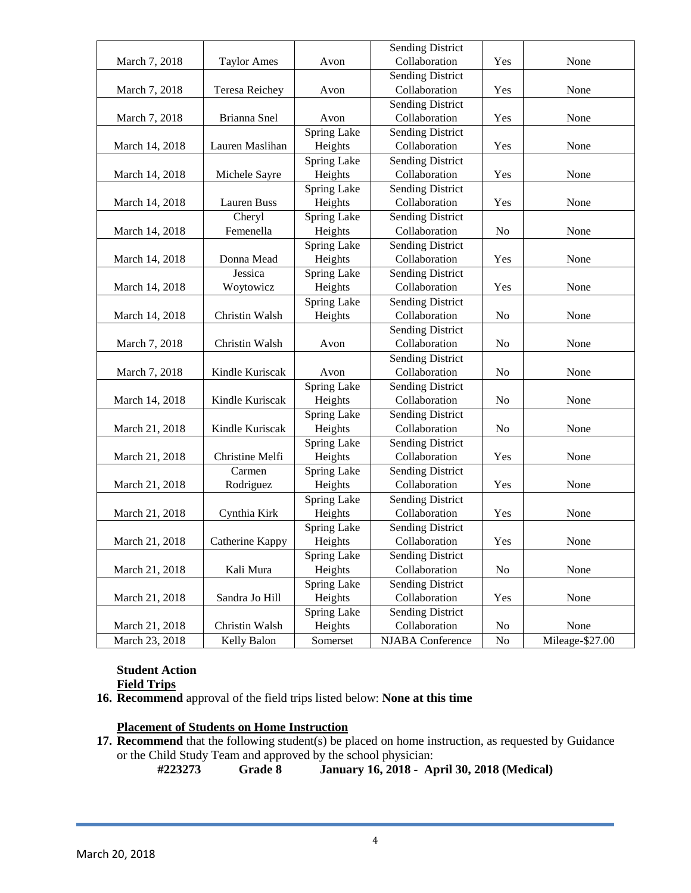|                |                       |             | <b>Sending District</b> |                |                 |
|----------------|-----------------------|-------------|-------------------------|----------------|-----------------|
| March 7, 2018  | <b>Taylor Ames</b>    | Avon        | Collaboration           | Yes            | None            |
|                |                       |             | <b>Sending District</b> |                |                 |
| March 7, 2018  | <b>Teresa Reichey</b> | Avon        | Collaboration           | Yes            | None            |
|                |                       |             | <b>Sending District</b> |                |                 |
| March 7, 2018  | Brianna Snel          | Avon        | Collaboration           | Yes            | None            |
|                |                       | Spring Lake | <b>Sending District</b> |                |                 |
| March 14, 2018 | Lauren Maslihan       | Heights     | Collaboration           | Yes            | None            |
|                |                       | Spring Lake | <b>Sending District</b> |                |                 |
| March 14, 2018 | Michele Sayre         | Heights     | Collaboration           | Yes            | None            |
|                |                       | Spring Lake | <b>Sending District</b> |                |                 |
| March 14, 2018 | Lauren Buss           | Heights     | Collaboration           | Yes            | None            |
|                | Cheryl                | Spring Lake | <b>Sending District</b> |                |                 |
| March 14, 2018 | Femenella             | Heights     | Collaboration           | No             | None            |
|                |                       | Spring Lake | <b>Sending District</b> |                |                 |
| March 14, 2018 | Donna Mead            | Heights     | Collaboration           | Yes            | None            |
|                | Jessica               | Spring Lake | <b>Sending District</b> |                |                 |
| March 14, 2018 | Woytowicz             | Heights     | Collaboration           | Yes            | None            |
|                |                       | Spring Lake | <b>Sending District</b> |                |                 |
| March 14, 2018 | Christin Walsh        | Heights     | Collaboration           | N <sub>o</sub> | None            |
|                |                       |             | <b>Sending District</b> |                |                 |
| March 7, 2018  | Christin Walsh        | Avon        | Collaboration           | N <sub>0</sub> | None            |
|                |                       |             | <b>Sending District</b> |                |                 |
| March 7, 2018  | Kindle Kuriscak       | Avon        | Collaboration           | N <sub>0</sub> | None            |
|                |                       | Spring Lake | <b>Sending District</b> |                |                 |
| March 14, 2018 | Kindle Kuriscak       | Heights     | Collaboration           | N <sub>o</sub> | None            |
|                |                       | Spring Lake | <b>Sending District</b> |                |                 |
| March 21, 2018 | Kindle Kuriscak       | Heights     | Collaboration           | N <sub>0</sub> | None            |
|                |                       | Spring Lake | <b>Sending District</b> |                |                 |
| March 21, 2018 | Christine Melfi       | Heights     | Collaboration           | Yes            | None            |
|                | Carmen                | Spring Lake | <b>Sending District</b> |                |                 |
| March 21, 2018 | Rodriguez             | Heights     | Collaboration           | Yes            | None            |
|                |                       | Spring Lake | <b>Sending District</b> |                |                 |
| March 21, 2018 | Cynthia Kirk          | Heights     | Collaboration           | Yes            | None            |
|                |                       | Spring Lake | <b>Sending District</b> |                |                 |
| March 21, 2018 | Catherine Kappy       | Heights     | Collaboration           | Yes            | None            |
|                |                       | Spring Lake | <b>Sending District</b> |                |                 |
| March 21, 2018 | Kali Mura             | Heights     | Collaboration           | No             | None            |
|                |                       | Spring Lake | <b>Sending District</b> |                |                 |
| March 21, 2018 | Sandra Jo Hill        | Heights     | Collaboration           | Yes            | None            |
|                |                       | Spring Lake | <b>Sending District</b> |                |                 |
| March 21, 2018 | Christin Walsh        | Heights     | Collaboration           | No             | None            |
| March 23, 2018 | Kelly Balon           | Somerset    | NJABA Conference        | No             | Mileage-\$27.00 |

# **Student Action**

# **Field Trips**

**16. Recommend** approval of the field trips listed below: **None at this time**

## **Placement of Students on Home Instruction**

17. **Recommend** that the following student(s) be placed on home instruction, as requested by Guidance or the Child Study Team and approved by the school physician:

**#223273 Grade 8 January 16, 2018 - April 30, 2018 (Medical)**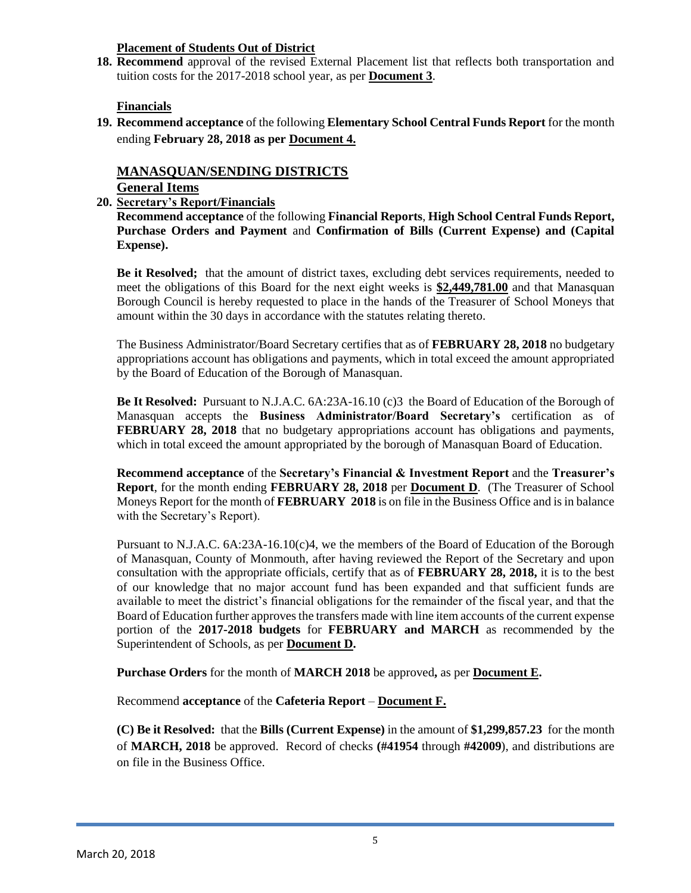### **Placement of Students Out of District**

**18. Recommend** approval of the revised External Placement list that reflects both transportation and tuition costs for the 2017-2018 school year, as per **Document 3**.

## **Financials**

**19. Recommend acceptance** of the following **Elementary School Central Funds Report** for the month ending **February 28, 2018 as per Document 4.**

# **MANASQUAN/SENDING DISTRICTS**

# **General Items**

**20. Secretary's Report/Financials**

**Recommend acceptance** of the following **Financial Reports**, **High School Central Funds Report, Purchase Orders and Payment** and **Confirmation of Bills (Current Expense) and (Capital Expense).**

**Be it Resolved;** that the amount of district taxes, excluding debt services requirements, needed to meet the obligations of this Board for the next eight weeks is **\$2,449,781.00** and that Manasquan Borough Council is hereby requested to place in the hands of the Treasurer of School Moneys that amount within the 30 days in accordance with the statutes relating thereto.

The Business Administrator/Board Secretary certifies that as of **FEBRUARY 28, 2018** no budgetary appropriations account has obligations and payments, which in total exceed the amount appropriated by the Board of Education of the Borough of Manasquan.

**Be It Resolved:** Pursuant to N.J.A.C. 6A:23A-16.10 (c)3 the Board of Education of the Borough of Manasquan accepts the **Business Administrator/Board Secretary's** certification as of **FEBRUARY 28, 2018** that no budgetary appropriations account has obligations and payments, which in total exceed the amount appropriated by the borough of Manasquan Board of Education.

**Recommend acceptance** of the **Secretary's Financial & Investment Report** and the **Treasurer's Report**, for the month ending **FEBRUARY 28, 2018** per **Document D**. (The Treasurer of School Moneys Report for the month of **FEBRUARY 2018** is on file in the Business Office and is in balance with the Secretary's Report).

Pursuant to N.J.A.C. 6A:23A-16.10(c)4, we the members of the Board of Education of the Borough of Manasquan, County of Monmouth, after having reviewed the Report of the Secretary and upon consultation with the appropriate officials, certify that as of **FEBRUARY 28, 2018,** it is to the best of our knowledge that no major account fund has been expanded and that sufficient funds are available to meet the district's financial obligations for the remainder of the fiscal year, and that the Board of Education further approves the transfers made with line item accounts of the current expense portion of the **2017-2018 budgets** for **FEBRUARY and MARCH** as recommended by the Superintendent of Schools, as per **Document D.**

**Purchase Orders** for the month of **MARCH 2018** be approved**,** as per **Document E.**

Recommend **acceptance** of the **Cafeteria Report** – **Document F.**

**(C) Be it Resolved:** that the **Bills (Current Expense)** in the amount of **\$1,299,857.23** for the month of **MARCH, 2018** be approved. Record of checks **(#41954** through **#42009**), and distributions are on file in the Business Office.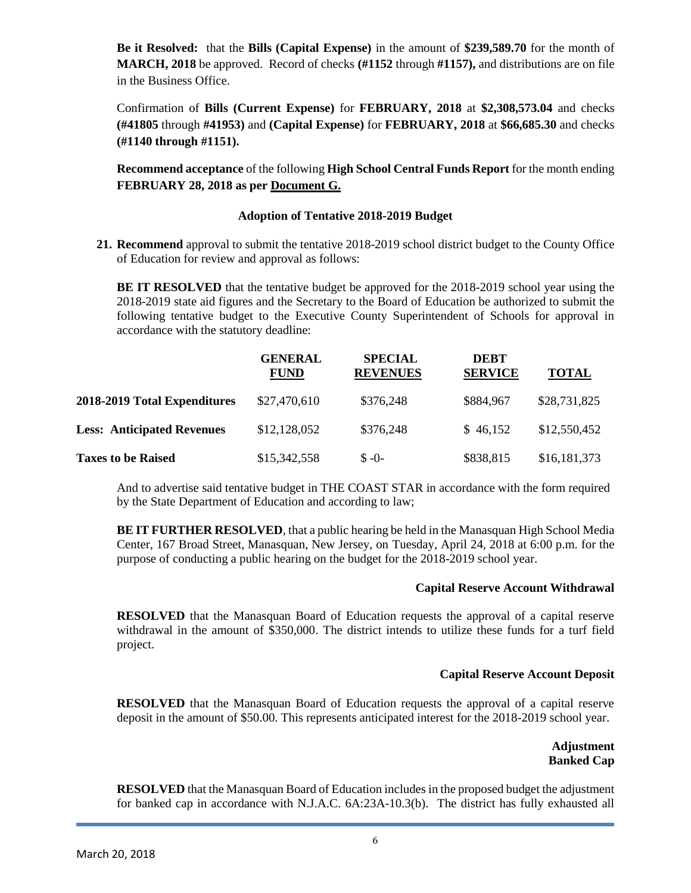**Be it Resolved:** that the **Bills (Capital Expense)** in the amount of **\$239,589.70** for the month of **MARCH, 2018** be approved. Record of checks **(#1152** through **#1157),** and distributions are on file in the Business Office.

Confirmation of **Bills (Current Expense)** for **FEBRUARY, 2018** at **\$2,308,573.04** and checks **(#41805** through **#41953)** and **(Capital Expense)** for **FEBRUARY, 2018** at **\$66,685.30** and checks **(#1140 through #1151).**

**Recommend acceptance** of the following **High School Central Funds Report** for the month ending **FEBRUARY 28, 2018 as per Document G.**

### **Adoption of Tentative 2018-2019 Budget**

**21. Recommend** approval to submit the tentative 2018-2019 school district budget to the County Office of Education for review and approval as follows:

**BE IT RESOLVED** that the tentative budget be approved for the 2018-2019 school year using the 2018-2019 state aid figures and the Secretary to the Board of Education be authorized to submit the following tentative budget to the Executive County Superintendent of Schools for approval in accordance with the statutory deadline:

|                                   | <b>GENERAL</b><br><b>FUND</b> | <b>SPECIAL</b><br><b>REVENUES</b> | <b>DEBT</b><br><b>SERVICE</b> | <b>TOTAL</b> |
|-----------------------------------|-------------------------------|-----------------------------------|-------------------------------|--------------|
| 2018-2019 Total Expenditures      | \$27,470,610                  | \$376,248                         | \$884,967                     | \$28,731,825 |
| <b>Less: Anticipated Revenues</b> | \$12,128,052                  | \$376,248                         | \$46,152                      | \$12,550,452 |
| <b>Taxes to be Raised</b>         | \$15,342,558                  | $S - 0 -$                         | \$838,815                     | \$16,181,373 |

And to advertise said tentative budget in THE COAST STAR in accordance with the form required by the State Department of Education and according to law;

**BE IT FURTHER RESOLVED**, that a public hearing be held in the Manasquan High School Media Center, 167 Broad Street, Manasquan, New Jersey, on Tuesday, April 24, 2018 at 6:00 p.m. for the purpose of conducting a public hearing on the budget for the 2018-2019 school year.

### **Capital Reserve Account Withdrawal**

**RESOLVED** that the Manasquan Board of Education requests the approval of a capital reserve withdrawal in the amount of \$350,000. The district intends to utilize these funds for a turf field project.

### **Capital Reserve Account Deposit**

**RESOLVED** that the Manasquan Board of Education requests the approval of a capital reserve deposit in the amount of \$50.00. This represents anticipated interest for the 2018-2019 school year.

## **Adjustment Banked Cap**

**RESOLVED** that the Manasquan Board of Education includes in the proposed budget the adjustment for banked cap in accordance with N.J.A.C. 6A:23A-10.3(b). The district has fully exhausted all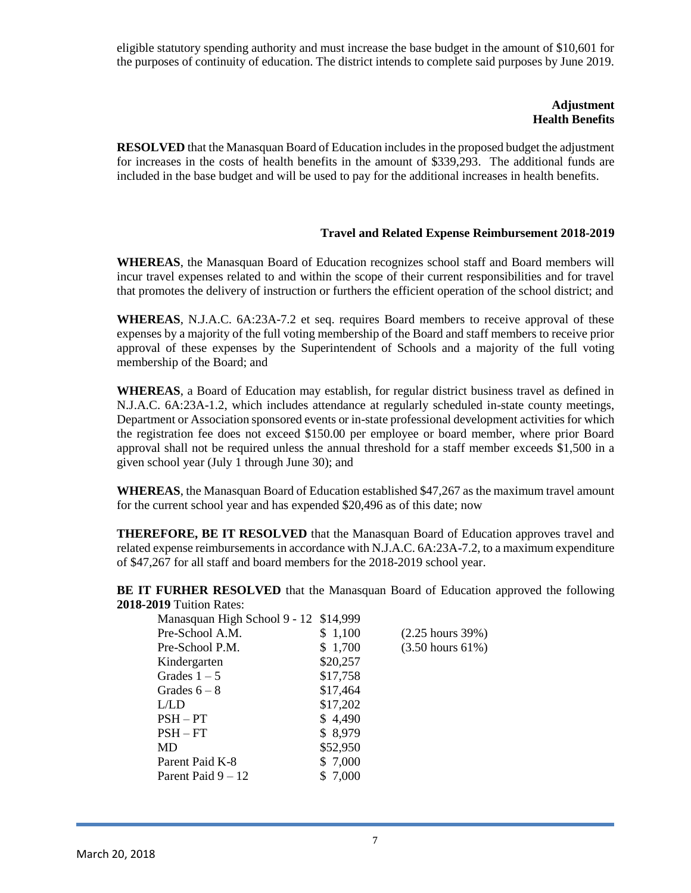eligible statutory spending authority and must increase the base budget in the amount of \$10,601 for the purposes of continuity of education. The district intends to complete said purposes by June 2019.

### **Adjustment Health Benefits**

**RESOLVED** that the Manasquan Board of Education includes in the proposed budget the adjustment for increases in the costs of health benefits in the amount of \$339,293. The additional funds are included in the base budget and will be used to pay for the additional increases in health benefits.

### **Travel and Related Expense Reimbursement 2018-2019**

**WHEREAS**, the Manasquan Board of Education recognizes school staff and Board members will incur travel expenses related to and within the scope of their current responsibilities and for travel that promotes the delivery of instruction or furthers the efficient operation of the school district; and

**WHEREAS**, N.J.A.C. 6A:23A-7.2 et seq. requires Board members to receive approval of these expenses by a majority of the full voting membership of the Board and staff members to receive prior approval of these expenses by the Superintendent of Schools and a majority of the full voting membership of the Board; and

**WHEREAS**, a Board of Education may establish, for regular district business travel as defined in N.J.A.C. 6A:23A-1.2, which includes attendance at regularly scheduled in-state county meetings, Department or Association sponsored events or in-state professional development activities for which the registration fee does not exceed \$150.00 per employee or board member, where prior Board approval shall not be required unless the annual threshold for a staff member exceeds \$1,500 in a given school year (July 1 through June 30); and

**WHEREAS**, the Manasquan Board of Education established \$47,267 as the maximum travel amount for the current school year and has expended \$20,496 as of this date; now

**THEREFORE, BE IT RESOLVED** that the Manasquan Board of Education approves travel and related expense reimbursements in accordance with N.J.A.C. 6A:23A-7.2, to a maximum expenditure of \$47,267 for all staff and board members for the 2018-2019 school year.

**BE IT FURHER RESOLVED** that the Manasquan Board of Education approved the following **2018-2019** Tuition Rates:

| Manasquan High School 9 - 12 \$14,999 |          |                              |
|---------------------------------------|----------|------------------------------|
| Pre-School A.M.                       | \$1,100  | $(2.25 \text{ hours } 39\%)$ |
| Pre-School P.M.                       | \$1,700  | $(3.50 \text{ hours } 61\%)$ |
| Kindergarten                          | \$20,257 |                              |
| Grades $1-5$                          | \$17,758 |                              |
| Grades $6-8$                          | \$17,464 |                              |
| L/LD                                  | \$17,202 |                              |
| $PSH - PT$                            | \$4,490  |                              |
| $PSH - FT$                            | \$8,979  |                              |
| MD                                    | \$52,950 |                              |
| Parent Paid K-8                       | \$7,000  |                              |
| Parent Paid $9-12$                    | 7,000    |                              |
|                                       |          |                              |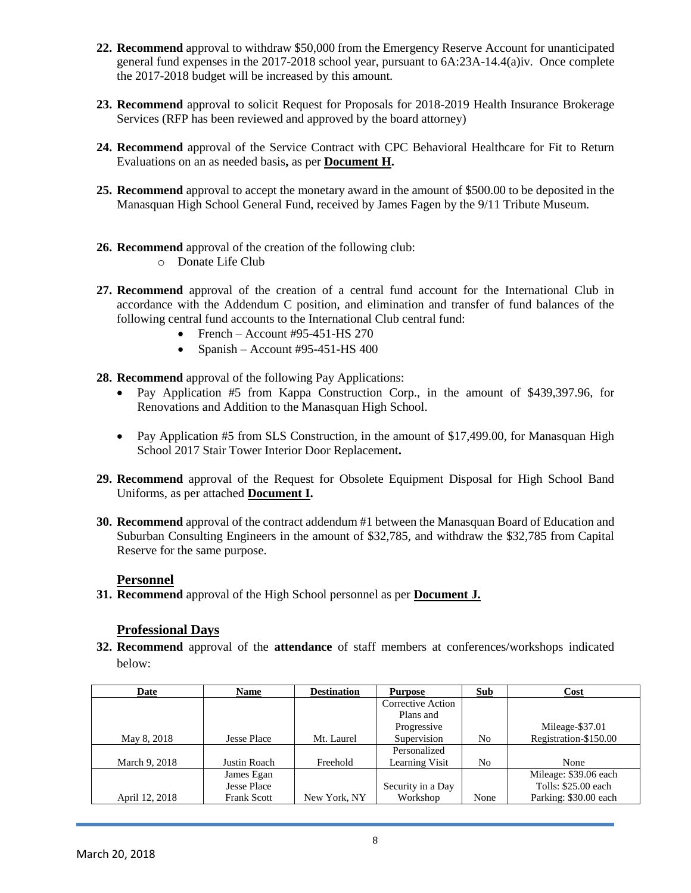- **22. Recommend** approval to withdraw \$50,000 from the Emergency Reserve Account for unanticipated general fund expenses in the 2017-2018 school year, pursuant to 6A:23A-14.4(a)iv. Once complete the 2017-2018 budget will be increased by this amount.
- **23. Recommend** approval to solicit Request for Proposals for 2018-2019 Health Insurance Brokerage Services (RFP has been reviewed and approved by the board attorney)
- **24. Recommend** approval of the Service Contract with CPC Behavioral Healthcare for Fit to Return Evaluations on an as needed basis**,** as per **Document H.**
- **25. Recommend** approval to accept the monetary award in the amount of \$500.00 to be deposited in the Manasquan High School General Fund, received by James Fagen by the 9/11 Tribute Museum.
- **26. Recommend** approval of the creation of the following club:
	- o Donate Life Club
- **27. Recommend** approval of the creation of a central fund account for the International Club in accordance with the Addendum C position, and elimination and transfer of fund balances of the following central fund accounts to the International Club central fund:
	- French Account #95-451-HS 270
	- Spanish Account #95-451-HS 400
- **28. Recommend** approval of the following Pay Applications:
	- Pay Application #5 from Kappa Construction Corp., in the amount of \$439,397.96, for Renovations and Addition to the Manasquan High School.
	- Pay Application #5 from SLS Construction, in the amount of \$17,499.00, for Manasquan High School 2017 Stair Tower Interior Door Replacement**.**
- **29. Recommend** approval of the Request for Obsolete Equipment Disposal for High School Band Uniforms, as per attached **Document I.**
- **30. Recommend** approval of the contract addendum #1 between the Manasquan Board of Education and Suburban Consulting Engineers in the amount of \$32,785, and withdraw the \$32,785 from Capital Reserve for the same purpose.

### **Personnel**

**31. Recommend** approval of the High School personnel as per **Document J.**

## **Professional Days**

**32. Recommend** approval of the **attendance** of staff members at conferences/workshops indicated below:

| Date           | <b>Name</b>        | <b>Destination</b> | <b>Purpose</b>    | Sub  | Cost                  |
|----------------|--------------------|--------------------|-------------------|------|-----------------------|
|                |                    |                    | Corrective Action |      |                       |
|                |                    |                    | Plans and         |      |                       |
|                |                    |                    | Progressive       |      | Mileage-\$37.01       |
| May 8, 2018    | Jesse Place        | Mt. Laurel         | Supervision       | No   | Registration-\$150.00 |
|                |                    |                    | Personalized      |      |                       |
| March 9, 2018  | Justin Roach       | Freehold           | Learning Visit    | No   | None                  |
|                | James Egan         |                    |                   |      | Mileage: \$39.06 each |
|                | <b>Jesse Place</b> |                    | Security in a Day |      | Tolls: \$25.00 each   |
| April 12, 2018 | <b>Frank Scott</b> | New York, NY       | Workshop          | None | Parking: \$30.00 each |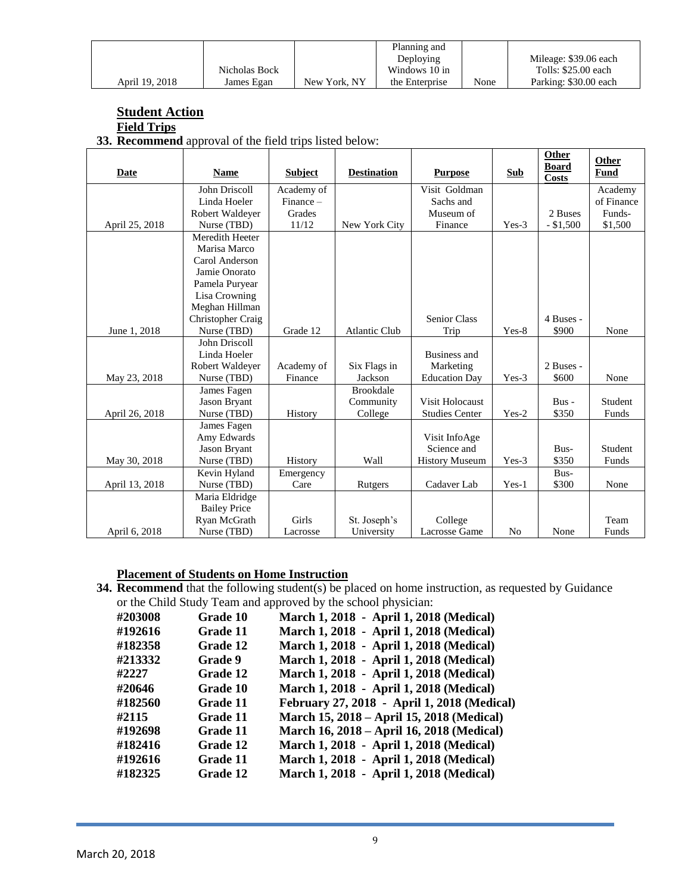|                | Nicholas Bock |              | Planning and<br>Deploying<br>Windows 10 in |      | Mileage: \$39.06 each<br>Tolls: \$25.00 each |
|----------------|---------------|--------------|--------------------------------------------|------|----------------------------------------------|
|                |               |              |                                            |      |                                              |
| April 19, 2018 | James Egan    | New York, NY | the Enterprise                             | None | Parking: \$30.00 each                        |

# **Student Action**

### **Field Trips**

**33. Recommend** approval of the field trips listed below:

| Date           | <b>Name</b>         | <b>Subject</b> | <b>Destination</b>   | <b>Purpose</b>        | <b>Sub</b>     | Other<br><b>Board</b><br><b>Costs</b> | Other<br><b>Fund</b> |
|----------------|---------------------|----------------|----------------------|-----------------------|----------------|---------------------------------------|----------------------|
|                | John Driscoll       | Academy of     |                      | Visit Goldman         |                |                                       | Academy              |
|                | Linda Hoeler        | $Finance -$    |                      | Sachs and             |                |                                       | of Finance           |
|                | Robert Waldeyer     | Grades         |                      | Museum of             |                | 2 Buses                               | Funds-               |
| April 25, 2018 | Nurse (TBD)         | 11/12          | New York City        | Finance               | Yes-3          | $-$ \$1,500                           | \$1,500              |
|                | Meredith Heeter     |                |                      |                       |                |                                       |                      |
|                | Marisa Marco        |                |                      |                       |                |                                       |                      |
|                | Carol Anderson      |                |                      |                       |                |                                       |                      |
|                | Jamie Onorato       |                |                      |                       |                |                                       |                      |
|                | Pamela Puryear      |                |                      |                       |                |                                       |                      |
|                | Lisa Crowning       |                |                      |                       |                |                                       |                      |
|                | Meghan Hillman      |                |                      |                       |                |                                       |                      |
|                | Christopher Craig   |                |                      | <b>Senior Class</b>   |                | 4 Buses -                             |                      |
| June 1, 2018   | Nurse (TBD)         | Grade 12       | <b>Atlantic Club</b> | Trip                  | Yes-8          | \$900                                 | None                 |
|                | John Driscoll       |                |                      |                       |                |                                       |                      |
|                | Linda Hoeler        |                |                      | Business and          |                |                                       |                      |
|                | Robert Waldeyer     | Academy of     | Six Flags in         | Marketing             |                | 2 Buses -                             |                      |
| May 23, 2018   | Nurse (TBD)         | Finance        | Jackson              | <b>Education Day</b>  | $Yes-3$        | \$600                                 | None                 |
|                | James Fagen         |                | <b>Brookdale</b>     |                       |                |                                       |                      |
|                | Jason Bryant        |                | Community            | Visit Holocaust       |                | $Bus -$                               | Student              |
| April 26, 2018 | Nurse (TBD)         | History        | College              | <b>Studies Center</b> | $Yes-2$        | \$350                                 | Funds                |
|                | James Fagen         |                |                      |                       |                |                                       |                      |
|                | Amy Edwards         |                |                      | Visit InfoAge         |                |                                       |                      |
|                | Jason Bryant        |                |                      | Science and           |                | Bus-                                  | Student              |
| May 30, 2018   | Nurse (TBD)         | History        | Wall                 | <b>History Museum</b> | $Yes-3$        | \$350                                 | Funds                |
|                | Kevin Hyland        | Emergency      |                      |                       |                | Bus-                                  |                      |
| April 13, 2018 | Nurse (TBD)         | Care           | Rutgers              | Cadaver Lab           | Yes-1          | \$300                                 | None                 |
|                | Maria Eldridge      |                |                      |                       |                |                                       |                      |
|                | <b>Bailey Price</b> |                |                      |                       |                |                                       |                      |
|                | Ryan McGrath        | Girls          | St. Joseph's         | College               |                |                                       | Team                 |
| April 6, 2018  | Nurse (TBD)         | Lacrosse       | University           | Lacrosse Game         | N <sub>0</sub> | None                                  | Funds                |

### **Placement of Students on Home Instruction**

**34. Recommend** that the following student(s) be placed on home instruction, as requested by Guidance or the Child Study Team and approved by the school physician:

| #203008 | Grade 10 | March 1, 2018 - April 1, 2018 (Medical)     |
|---------|----------|---------------------------------------------|
| #192616 | Grade 11 | March 1, 2018 - April 1, 2018 (Medical)     |
| #182358 | Grade 12 | March 1, 2018 - April 1, 2018 (Medical)     |
| #213332 | Grade 9  | March 1, 2018 - April 1, 2018 (Medical)     |
| #2227   | Grade 12 | March 1, 2018 - April 1, 2018 (Medical)     |
| #20646  | Grade 10 | March 1, 2018 - April 1, 2018 (Medical)     |
| #182560 | Grade 11 | February 27, 2018 - April 1, 2018 (Medical) |
| #2115   | Grade 11 | March 15, 2018 – April 15, 2018 (Medical)   |
| #192698 | Grade 11 | March 16, 2018 – April 16, 2018 (Medical)   |
| #182416 | Grade 12 | March 1, 2018 - April 1, 2018 (Medical)     |
| #192616 | Grade 11 | March 1, 2018 - April 1, 2018 (Medical)     |
| #182325 | Grade 12 | March 1, 2018 - April 1, 2018 (Medical)     |
|         |          |                                             |